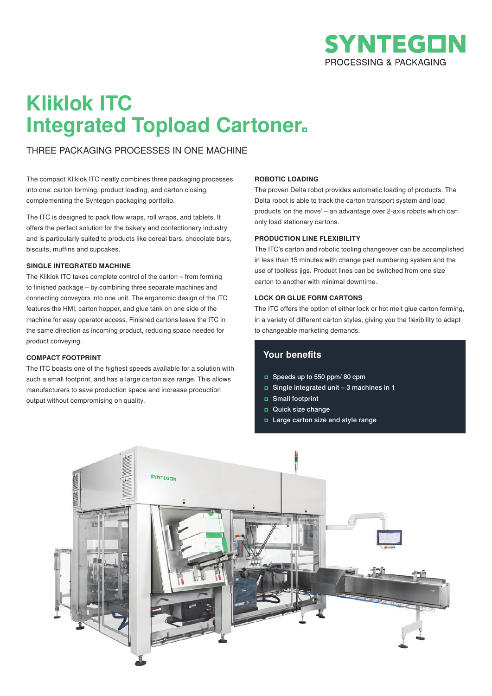

## **Kliklok ITC Integrated Topload Cartoner**

THREE PACKAGING PROCESSES IN ONE MACHINE

The compact Kliklok ITC neatly combines three packaging processes into one: carton forming, product loading, and carton closing, complementing the Syntegon packaging portfolio.

The ITC is designed to pack flow wraps, roll wraps, and tablets. It offers the perfect solution for the bakery and confectionery industry and is particularly suited to products like cereal bars, chocolate bars, biscuits, muffins and cupcakes.

### **SINGLE INTEGRATED MACHINE**

The Kliklok ITC takes complete control of the carton – from forming to finished package – by combining three separate machines and connecting conveyors into one unit. The ergonomic design of the ITC features the HMI, carton hopper, and glue tank on one side of the machine for easy operator access. Finished cartons leave the ITC in the same direction as incoming product, reducing space needed for product conveying.

### **COMPACT FOOTPRINT**

The ITC boasts one of the highest speeds available for a solution with such a small footprint, and has a large carton size range. This allows manufacturers to save production space and increase production output without compromising on quality.

### **ROBOTIC LOADING**

The proven Delta robot provides automatic loading of products. The Delta robot is able to track the carton transport system and load products 'on the move' – an advantage over 2-axis robots which can only load stationary cartons.

### **PRODUCTION LINE FLEXIBILITY**

The ITC's carton and robotic tooling changeover can be accomplished in less than 15 minutes with change part numbering system and the use of toolless jigs. Product lines can be switched from one size carton to another with minimal downtime.

### **LOCK OR GLUE FORM CARTONS**

The ITC offers the option of either lock or hot melt glue carton forming, in a variety of different carton styles, giving you the flexibility to adapt to changeable marketing demands.

## **Your benefits**

- Speeds up to 550 ppm/ 80 cpm
- Single integrated unit 3 machines in 1
- Small footprint
- Quick size change
- Large carton size and style range